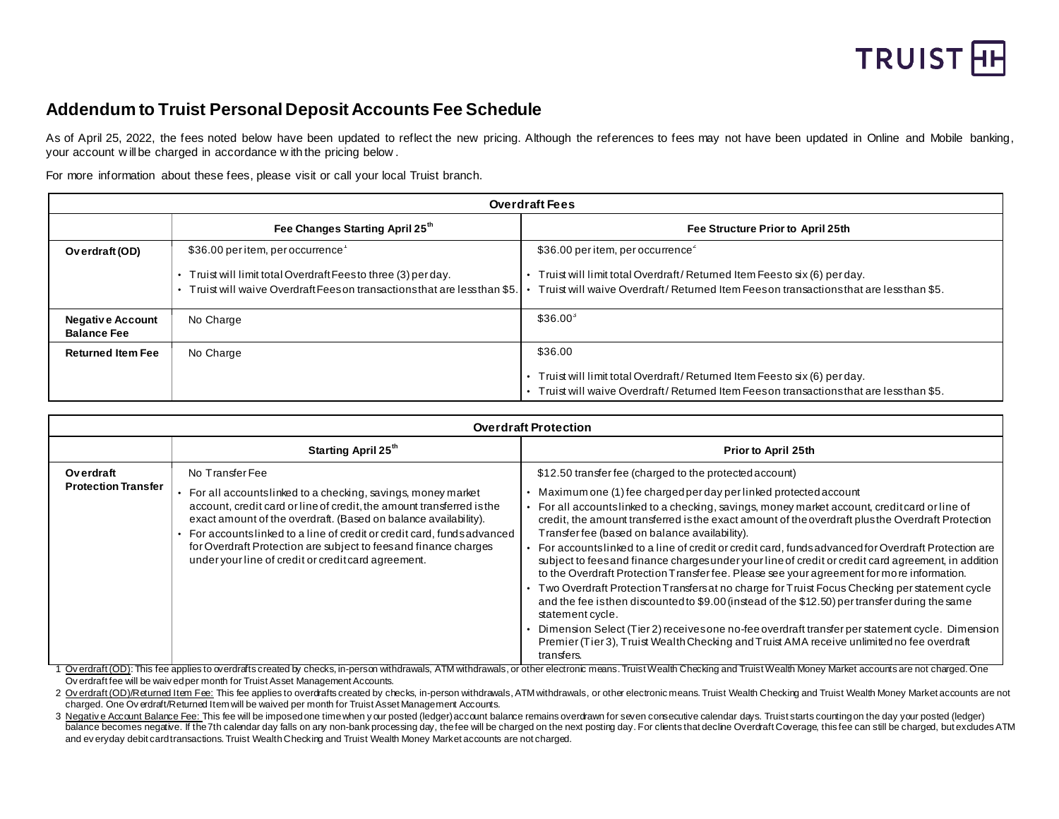

# **Addendum to Truist Personal Deposit Accounts Fee Schedule**

As of April 25, 2022, the fees noted below have been updated to reflect the new pricing. Although the references to fees may not have been updated in Online and Mobile banking, your account w ill be charged in accordance w ith the pricing below .

For more information about these fees, please visit or call your local Truist branch.

|                                               | <b>Overdraft Fees</b>                                                                                                                                                        |                                                                                                                                                                                                                   |  |  |
|-----------------------------------------------|------------------------------------------------------------------------------------------------------------------------------------------------------------------------------|-------------------------------------------------------------------------------------------------------------------------------------------------------------------------------------------------------------------|--|--|
|                                               | Fee Changes Starting April 25th                                                                                                                                              | Fee Structure Prior to April 25th                                                                                                                                                                                 |  |  |
| Overdraft (OD)                                | \$36.00 per item, per occurrence<br>• Truist will limit total Overdraft Feesto three (3) per day.<br>Truist will waive Overdraft Feeson transactions that are less than \$5. | \$36.00 per item, per occurrence <sup>2</sup><br>Truist will limit total Overdraft/Returned Item Feesto six (6) per day.<br>Truist will waive Overdraft/Returned Item Feeson transactions that are less than \$5. |  |  |
| <b>Negative Account</b><br><b>Balance Fee</b> | No Charge                                                                                                                                                                    | $$36.00^3$                                                                                                                                                                                                        |  |  |
| <b>Returned Item Fee</b>                      | No Charge                                                                                                                                                                    | \$36.00<br>Truist will limit total Overdraft/Returned Item Feesto six (6) per day.<br>Truist will waive Overdraft/Returned Item Feeson transactions that are less than \$5.                                       |  |  |

|                                         | <b>Overdraft Protection</b>                                                                                                                                                                                                                                                                                                                                                                                                    |                                                                                                                                                                                                                                                                                                                                                                                                                                                                                                                                                                                                                                                                                                                                                                                                                                                                                                                                                                                                                                                                                                                                    |  |  |
|-----------------------------------------|--------------------------------------------------------------------------------------------------------------------------------------------------------------------------------------------------------------------------------------------------------------------------------------------------------------------------------------------------------------------------------------------------------------------------------|------------------------------------------------------------------------------------------------------------------------------------------------------------------------------------------------------------------------------------------------------------------------------------------------------------------------------------------------------------------------------------------------------------------------------------------------------------------------------------------------------------------------------------------------------------------------------------------------------------------------------------------------------------------------------------------------------------------------------------------------------------------------------------------------------------------------------------------------------------------------------------------------------------------------------------------------------------------------------------------------------------------------------------------------------------------------------------------------------------------------------------|--|--|
|                                         | Starting April 25 <sup>th</sup>                                                                                                                                                                                                                                                                                                                                                                                                | <b>Prior to April 25th</b>                                                                                                                                                                                                                                                                                                                                                                                                                                                                                                                                                                                                                                                                                                                                                                                                                                                                                                                                                                                                                                                                                                         |  |  |
| Overdraft<br><b>Protection Transfer</b> | No Transfer Fee<br>For all accounts linked to a checking, savings, money market<br>account, credit card or line of credit, the amount transferred is the<br>exact amount of the overdraft. (Based on balance availability).<br>For accountslinked to a line of credit or credit card, fundsadvanced<br>for Overdraft Protection are subject to fees and finance charges<br>under your line of credit or credit card agreement. | \$12.50 transfer fee (charged to the protected account)<br>Maximum one (1) fee charged per day per linked protected account<br>For all accountslinked to a checking, savings, money market account, credit card or line of<br>credit, the amount transferred is the exact amount of the overdraft plus the Overdraft Protection<br>Transfer fee (based on balance availability).<br>For accountslinked to a line of credit or credit card, funds advanced for Overdraft Protection are<br>subject to fees and finance charges under your line of credit or credit card agreement, in addition<br>to the Overdraft Protection Transfer fee. Please see your agreement for more information.<br>• Two Overdraft Protection Transfers at no charge for Truist Focus Checking per statement cycle<br>and the fee is then discounted to \$9.00 (instead of the \$12.50) per transfer during the same<br>statement cycle.<br>Dimension Select (Tier 2) receives one no-fee overdraft transfer per statement cycle. Dimension<br>Premier (Tier 3), Truist Wealth Checking and Truist AMA receive unlimited no fee overdraft<br>transfers. |  |  |

1 <u>Overdraft (OD)</u>: This fee applies to overdrafts created by checks, in-person withdrawals, ATM withdrawals, or other electronic means. Truist Wealth Checking and Truist Wealth Money Market accounts are not charged. One Ov erdraft fee will be waiv ed per month for Truist Asset Management Accounts.

2 Overdraft (OD)/Returned Item Fee: This fee applies to overdrafts created by checks, in-person withdrawals, ATM withdrawals, or other electronic means. Truist Wealth Checking and Truist Wealth Money Market accounts are no charged. One Ov erdraft/Returned Item will be waived per month for Truist Asset Management Accounts.

3 Negative Account Balance Fee: This fee will be imposed one time when y our posted (ledger) account balance remains overdrawn for seven consecutive calendar days. Truist starts counting on the day your posted (ledger) balance becomes negative. If the 7th calendar day falls on any non-bank processing day, the fee will be charged on the next posting day. For clients that decline Overdraft Coverage, this fee can still be charged, but exclu and ev eryday debit card transactions. Truist WealthChecking and Truist Wealth Money Market accounts are not charged.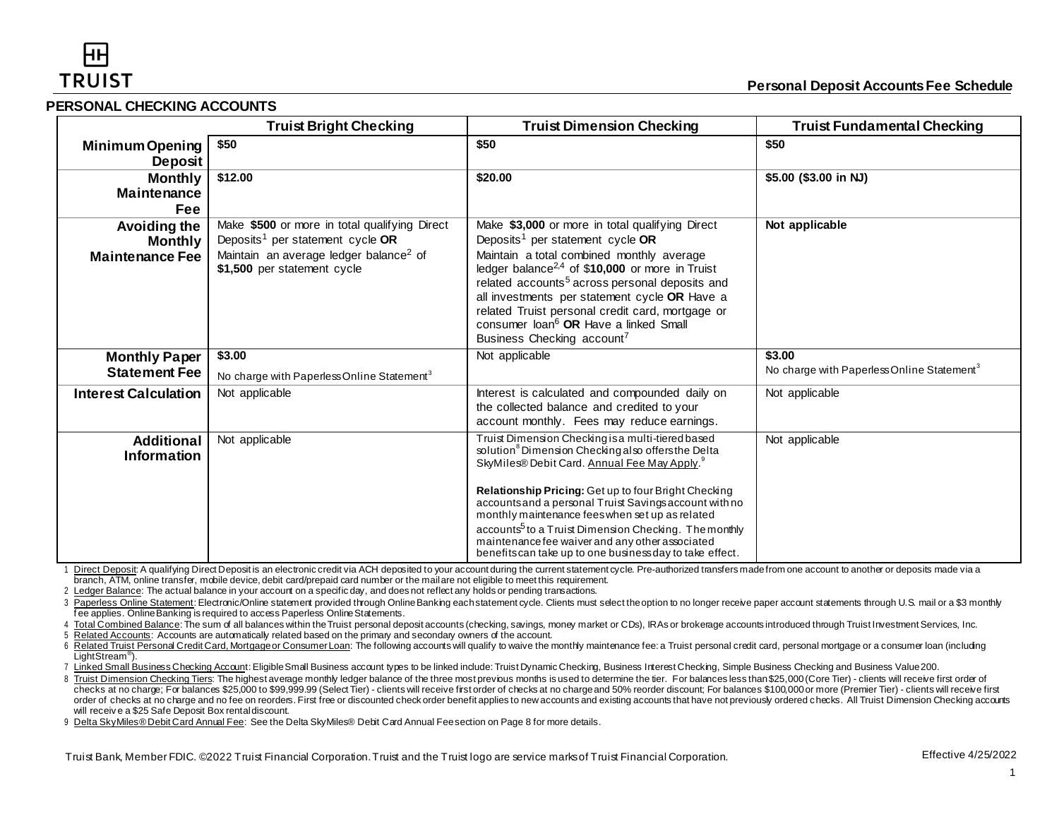#### **PERSONAL CHECKING ACCOUNTS**

|                                                          | <b>Truist Bright Checking</b>                                                                                                                                                      | <b>Truist Dimension Checking</b>                                                                                                                                                                                                                                                                                                                                                                                                                                                                                            | <b>Truist Fundamental Checking</b>                               |
|----------------------------------------------------------|------------------------------------------------------------------------------------------------------------------------------------------------------------------------------------|-----------------------------------------------------------------------------------------------------------------------------------------------------------------------------------------------------------------------------------------------------------------------------------------------------------------------------------------------------------------------------------------------------------------------------------------------------------------------------------------------------------------------------|------------------------------------------------------------------|
| <b>Minimum Opening</b><br><b>Deposit</b>                 | \$50                                                                                                                                                                               | \$50                                                                                                                                                                                                                                                                                                                                                                                                                                                                                                                        | \$50                                                             |
| <b>Monthly</b><br><b>Maintenance</b><br>Fee              | \$12.00                                                                                                                                                                            | \$20.00                                                                                                                                                                                                                                                                                                                                                                                                                                                                                                                     | \$5.00 (\$3.00 in NJ)                                            |
| Avoiding the<br><b>Monthly</b><br><b>Maintenance Fee</b> | Make \$500 or more in total qualifying Direct<br>Deposits <sup>1</sup> per statement cycle OR<br>Maintain an average ledger balance <sup>2</sup> of<br>\$1,500 per statement cycle | Make \$3,000 or more in total qualifying Direct<br>Deposits <sup>1</sup> per statement cycle OR<br>Maintain a total combined monthly average<br>ledger balance <sup>2,4</sup> of \$10,000 or more in Truist<br>related accounts <sup>5</sup> across personal deposits and<br>all investments per statement cycle OR Have a<br>related Truist personal credit card, mortgage or<br>consumer loan <sup>6</sup> OR Have a linked Small<br>Business Checking account <sup>7</sup>                                               | Not applicable                                                   |
| <b>Monthly Paper</b><br><b>Statement Fee</b>             | \$3.00<br>No charge with Paperless Online Statement <sup>3</sup>                                                                                                                   | Not applicable                                                                                                                                                                                                                                                                                                                                                                                                                                                                                                              | \$3.00<br>No charge with Paperless Online Statement <sup>3</sup> |
| <b>Interest Calculation</b>                              | Not applicable                                                                                                                                                                     | Interest is calculated and compounded daily on<br>the collected balance and credited to your<br>account monthly. Fees may reduce earnings.                                                                                                                                                                                                                                                                                                                                                                                  | Not applicable                                                   |
| <b>Additional</b><br><b>Information</b>                  | Not applicable                                                                                                                                                                     | Truist Dimension Checking is a multi-tiered based<br>solution <sup>8</sup> Dimension Checking also offers the Delta<br>SkyMiles® Debit Card. Annual Fee May Apply.<br>Relationship Pricing: Get up to four Bright Checking<br>accounts and a personal Truist Savings account with no<br>monthly maintenance fees when set up as related<br>accounts <sup>5</sup> to a Truist Dimension Checking. The monthly<br>maintenance fee waiver and any other associated<br>benefits can take up to one business day to take effect. | Not applicable                                                   |

1 Direct Deposit: A qualifying Direct Deposit is an electronic credit via ACH deposited to your account during the current statement cycle. Pre-authorized transfers made from one account to another or deposits made via a branch, ATM, online transfer, mobile device, debit card/prepaid card number or the mail are not eligible to meet this requirement.

2 Ledger Balance: The actual balance in your account on a specific day, and does not reflect any holds or pending transactions.

3 Paperless Online Statement: Electronic/Online statement provided through Online Banking each statement cycle. Clients must select the option to no longer receive paper account statements through U.S. mail or a \$3 monthly fee applies. Online Banking is required to access Paperless Online Statements.

4 Total Combined Balance: The sum of all balances within the Truist personal deposit accounts (checking, savings, money market or CDs), IRAs or brokerage accounts introduced through Truist Investment Services, Inc.

5 Related Accounts: Accounts are automatically related based on the primary and secondary owners of the account.

6 Related Truist Personal Credit Card, Mortgage or Consumer Loan: The following accounts will qualify to waive the monthly maintenance fee: a Truist personal credit card, personal mortgage or a consumer loan (including LightStream® ).

7 Linked Small Business Checking Account: Eligible Small Business account types to be linked include: Truist Dynamic Checking, Business Interest Checking, Simple Business Checking and Business Value 200.

8 Truist Dimension Checking Tiers: The highest average monthly ledger balance of the three most previous months is used to determine the tier. For balances less than \$25,000 (Core Tier) - clients will receive first order o checks at no charge; For balances \$25,000 to \$99,999.99 (Select Tier) - clients will receive first order of checks at no charge and 50% reorder discount; For balances \$100,000 or more (Premier Tier) - clients will receive order of checks at no charge and no fee on reorders. First free or discounted check order benefit applies to new accounts and existing accounts that have not previously ordered checks. All Truist Dimension Checking account will receiv e a \$25 Safe Deposit Box rental discount.

9 Delta SkyMiles® Debit Card Annual Fee: See the Delta SkyMiles® Debit Card Annual Fee section on Page 8 for more details.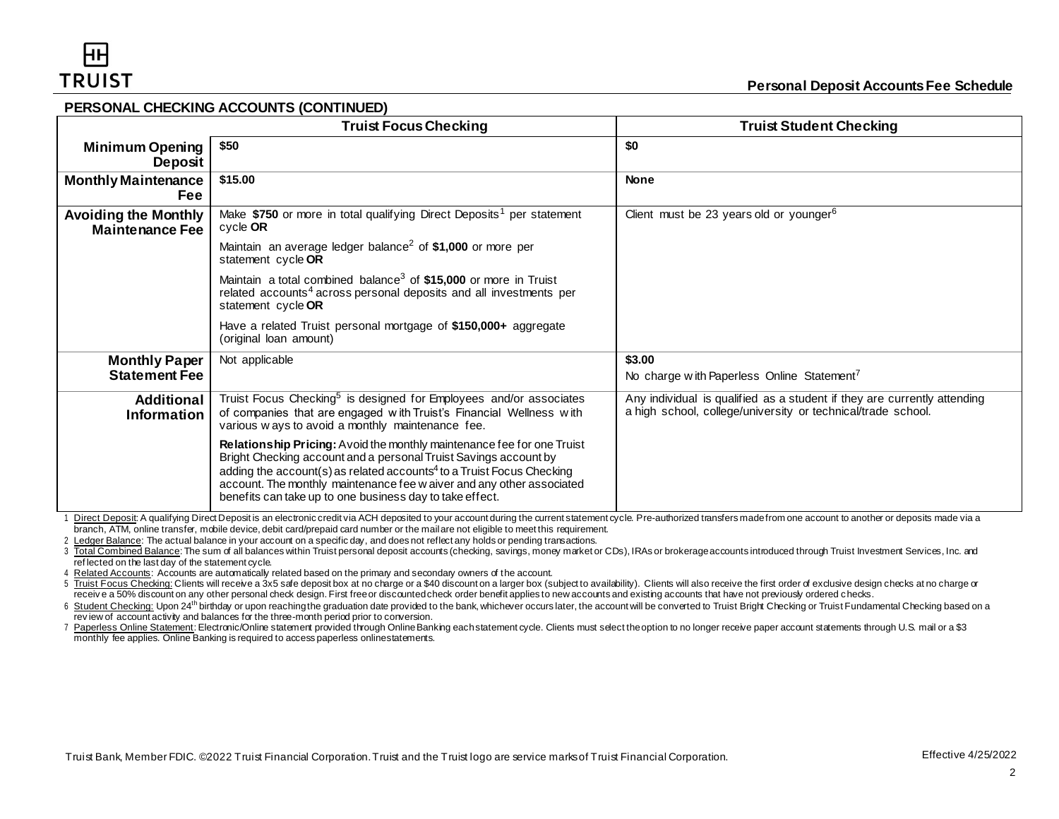#### **PERSONAL CHECKING ACCOUNTS (CONTINUED)**

|                                                       | <b>Truist Focus Checking</b>                                                                                                                                                                                                                                                                                                                                         | <b>Truist Student Checking</b>                                                                                                           |
|-------------------------------------------------------|----------------------------------------------------------------------------------------------------------------------------------------------------------------------------------------------------------------------------------------------------------------------------------------------------------------------------------------------------------------------|------------------------------------------------------------------------------------------------------------------------------------------|
| <b>Minimum Opening</b><br><b>Deposit</b>              | \$50                                                                                                                                                                                                                                                                                                                                                                 | \$0                                                                                                                                      |
| <b>Monthly Maintenance</b><br><b>Fee</b>              | \$15.00                                                                                                                                                                                                                                                                                                                                                              | <b>None</b>                                                                                                                              |
| <b>Avoiding the Monthly</b><br><b>Maintenance Fee</b> | Make \$750 or more in total qualifying Direct Deposits <sup>1</sup> per statement<br>cycle OR                                                                                                                                                                                                                                                                        | Client must be 23 years old or younger <sup>6</sup>                                                                                      |
|                                                       | Maintain an average ledger balance <sup>2</sup> of \$1,000 or more per<br>statement cycle OR                                                                                                                                                                                                                                                                         |                                                                                                                                          |
|                                                       | Maintain a total combined balance <sup>3</sup> of \$15,000 or more in Truist<br>related accounts <sup>4</sup> across personal deposits and all investments per<br>statement cycle OR                                                                                                                                                                                 |                                                                                                                                          |
|                                                       | Have a related Truist personal mortgage of \$150,000+ aggregate<br>(original loan amount)                                                                                                                                                                                                                                                                            |                                                                                                                                          |
| <b>Monthly Paper</b><br><b>Statement Fee</b>          | Not applicable                                                                                                                                                                                                                                                                                                                                                       | \$3.00<br>No charge with Paperless Online Statement <sup>7</sup>                                                                         |
| <b>Additional</b><br>Information                      | Truist Focus Checking <sup>5</sup> is designed for Employees and/or associates<br>of companies that are engaged with Truist's Financial Wellness with<br>various ways to avoid a monthly maintenance fee.                                                                                                                                                            | Any individual is qualified as a student if they are currently attending<br>a high school, college/university or technical/trade school. |
|                                                       | Relationship Pricing: Avoid the monthly maintenance fee for one Truist<br>Bright Checking account and a personal Truist Savings account by<br>adding the account(s) as related accounts <sup>4</sup> to a Truist Focus Checking<br>account. The monthly maintenance fee w aiver and any other associated<br>benefits can take up to one business day to take effect. |                                                                                                                                          |

1 Direct Deposit: A qualifying Direct Deposit is an electronic credit via ACH deposited to your account during the current statement cycle. Pre-authorized transfers made from one account to another or deposits made via a branch, ATM, online transfer, mobile device, debit card/prepaid card number or the mail are not eligible to meet this requirement.

2 Ledger Balance: The actual balance in your account on a specific day, and does not reflect any holds or pending transactions.

3 Total Combined Balance: The sum of all balances within Truist personal deposit accounts (checking, savings, money market or CDs), IRAs or brokerage accounts introduced through Truist Investment Services, Inc. and ref lected on the last day of the statement cycle.

4 Related Accounts: Accounts are automatically related based on the primary and secondary owners of the account.

5 Truist Focus Checking: Clients will receive a 3x5 safe deposit box at no charge or a \$40 discount on a larger box (subject to availability). Clients will also receive the first order of exclusive design checks at no char receive a 50% discount on any other personal check design. First free or discounted check order benefit applies to new accounts and existing accounts that have not previously ordered checks.

6 Student Checking: Upon 24<sup>th</sup> birthday or upon reaching the graduation date provided to the bank, whichever occurs later, the account will be converted to Truist Bright Checking or Truist Fundamental Checking based on a rev iew of account activity and balances for the three-month period prior to conversion.

7 Paperless Online Statement:Electronic/Online statement provided through OnlineBanking eachstatement cycle. Clients must select theoption to no longer receive paper account statements through U.S. mail or a \$3 monthly fee applies. Online Banking is required to access paperless onlinestatements.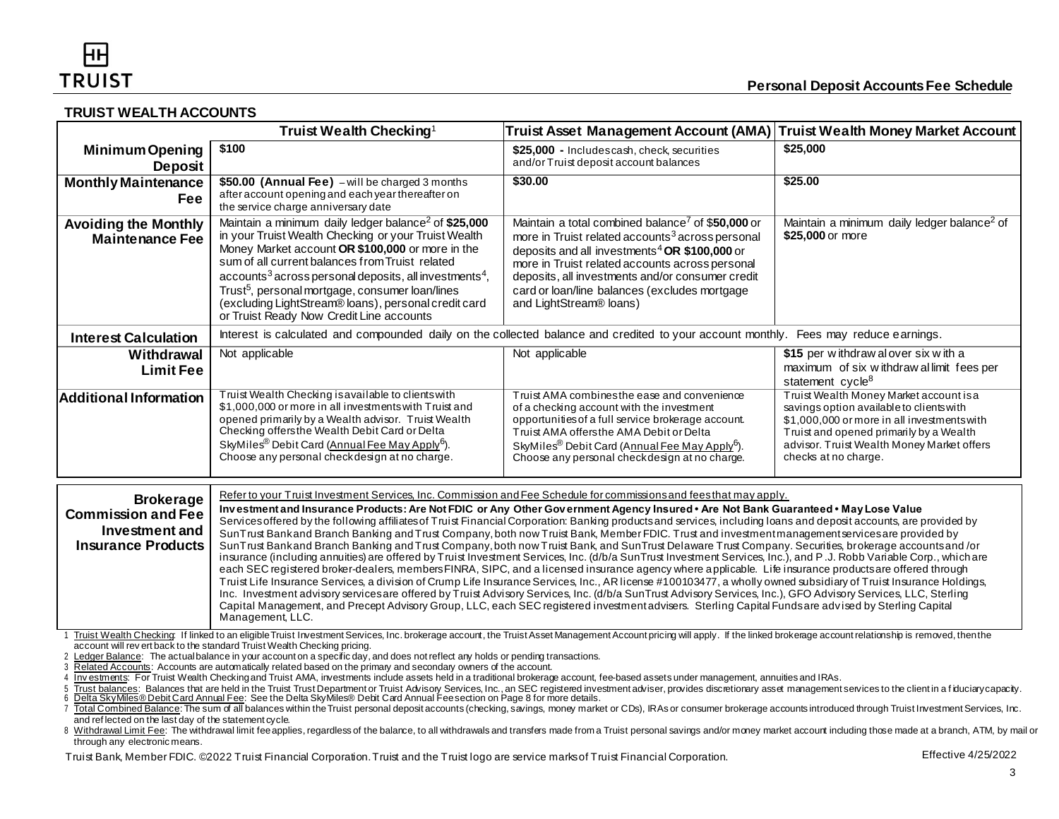## **TRUIST WEALTH ACCOUNTS**

|                                                                                                                                                                                                                                                                                                                                                                                                                                                                                                                                                                                                                                                                                                                                                                                                                                                                                                                                                                                                                                                                                                                                                                                                                                                                                                                                                                                                                                                                                                                                                                                                                                                                                           | Truist Wealth Checking <sup>1</sup>                                                                                                                                                                                                                                                                                                                                                                                                                                                                                                                                                                                                                                                                                                                                                                                                                                                                                                                                                                                                                                                                                                                                                                                                                                                                                                                                                                                                                          | Truist Asset Management Account (AMA)                                                                                                                                                                                                                                                                                                                                         | <b>Truist Wealth Money Market Account</b>                                                                                                                                                                                                           |
|-------------------------------------------------------------------------------------------------------------------------------------------------------------------------------------------------------------------------------------------------------------------------------------------------------------------------------------------------------------------------------------------------------------------------------------------------------------------------------------------------------------------------------------------------------------------------------------------------------------------------------------------------------------------------------------------------------------------------------------------------------------------------------------------------------------------------------------------------------------------------------------------------------------------------------------------------------------------------------------------------------------------------------------------------------------------------------------------------------------------------------------------------------------------------------------------------------------------------------------------------------------------------------------------------------------------------------------------------------------------------------------------------------------------------------------------------------------------------------------------------------------------------------------------------------------------------------------------------------------------------------------------------------------------------------------------|--------------------------------------------------------------------------------------------------------------------------------------------------------------------------------------------------------------------------------------------------------------------------------------------------------------------------------------------------------------------------------------------------------------------------------------------------------------------------------------------------------------------------------------------------------------------------------------------------------------------------------------------------------------------------------------------------------------------------------------------------------------------------------------------------------------------------------------------------------------------------------------------------------------------------------------------------------------------------------------------------------------------------------------------------------------------------------------------------------------------------------------------------------------------------------------------------------------------------------------------------------------------------------------------------------------------------------------------------------------------------------------------------------------------------------------------------------------|-------------------------------------------------------------------------------------------------------------------------------------------------------------------------------------------------------------------------------------------------------------------------------------------------------------------------------------------------------------------------------|-----------------------------------------------------------------------------------------------------------------------------------------------------------------------------------------------------------------------------------------------------|
| <b>Minimum Opening</b><br><b>Deposit</b>                                                                                                                                                                                                                                                                                                                                                                                                                                                                                                                                                                                                                                                                                                                                                                                                                                                                                                                                                                                                                                                                                                                                                                                                                                                                                                                                                                                                                                                                                                                                                                                                                                                  | \$100                                                                                                                                                                                                                                                                                                                                                                                                                                                                                                                                                                                                                                                                                                                                                                                                                                                                                                                                                                                                                                                                                                                                                                                                                                                                                                                                                                                                                                                        | \$25,000 - Includescash, check, securities<br>and/or Truist deposit account balances                                                                                                                                                                                                                                                                                          | \$25,000                                                                                                                                                                                                                                            |
| <b>Monthly Maintenance</b><br>Fee                                                                                                                                                                                                                                                                                                                                                                                                                                                                                                                                                                                                                                                                                                                                                                                                                                                                                                                                                                                                                                                                                                                                                                                                                                                                                                                                                                                                                                                                                                                                                                                                                                                         | \$50.00 (Annual Fee) - will be charged 3 months<br>after account opening and each year thereafter on<br>the service charge anniversary date                                                                                                                                                                                                                                                                                                                                                                                                                                                                                                                                                                                                                                                                                                                                                                                                                                                                                                                                                                                                                                                                                                                                                                                                                                                                                                                  | \$30.00                                                                                                                                                                                                                                                                                                                                                                       | \$25.00                                                                                                                                                                                                                                             |
| <b>Avoiding the Monthly</b><br><b>Maintenance Fee</b>                                                                                                                                                                                                                                                                                                                                                                                                                                                                                                                                                                                                                                                                                                                                                                                                                                                                                                                                                                                                                                                                                                                                                                                                                                                                                                                                                                                                                                                                                                                                                                                                                                     | Maintain a minimum daily ledger balance <sup>2</sup> of \$25,000<br>in your Truist Wealth Checking or your Truist Wealth<br>Money Market account OR \$100,000 or more in the<br>sum of all current balances from Truist related<br>$accounts3 across personal deposits, all investments4$<br>Trust <sup>5</sup> , personal mortgage, consumer loan/lines<br>(excluding LightStream® loans), personal credit card<br>or Truist Ready Now Credit Line accounts                                                                                                                                                                                                                                                                                                                                                                                                                                                                                                                                                                                                                                                                                                                                                                                                                                                                                                                                                                                                 | Maintain a total combined balance <sup>7</sup> of \$50,000 or<br>more in Truist related accounts <sup>3</sup> across personal<br>deposits and all investments <sup>4</sup> OR \$100,000 or<br>more in Truist related accounts across personal<br>deposits, all investments and/or consumer credit<br>card or loan/line balances (excludes mortgage<br>and LightStream® loans) | Maintain a minimum daily ledger balance <sup>2</sup> of<br>\$25,000 or more                                                                                                                                                                         |
| <b>Interest Calculation</b>                                                                                                                                                                                                                                                                                                                                                                                                                                                                                                                                                                                                                                                                                                                                                                                                                                                                                                                                                                                                                                                                                                                                                                                                                                                                                                                                                                                                                                                                                                                                                                                                                                                               | Interest is calculated and compounded daily on the collected balance and credited to your account monthly. Fees may reduce earnings.                                                                                                                                                                                                                                                                                                                                                                                                                                                                                                                                                                                                                                                                                                                                                                                                                                                                                                                                                                                                                                                                                                                                                                                                                                                                                                                         |                                                                                                                                                                                                                                                                                                                                                                               |                                                                                                                                                                                                                                                     |
| Withdrawal<br><b>Limit Fee</b>                                                                                                                                                                                                                                                                                                                                                                                                                                                                                                                                                                                                                                                                                                                                                                                                                                                                                                                                                                                                                                                                                                                                                                                                                                                                                                                                                                                                                                                                                                                                                                                                                                                            | Not applicable                                                                                                                                                                                                                                                                                                                                                                                                                                                                                                                                                                                                                                                                                                                                                                                                                                                                                                                                                                                                                                                                                                                                                                                                                                                                                                                                                                                                                                               | Not applicable                                                                                                                                                                                                                                                                                                                                                                | \$15 per withdraw al over six with a<br>maximum of six withdraw allimit fees per<br>statement cycle <sup>8</sup>                                                                                                                                    |
| Additional Information                                                                                                                                                                                                                                                                                                                                                                                                                                                                                                                                                                                                                                                                                                                                                                                                                                                                                                                                                                                                                                                                                                                                                                                                                                                                                                                                                                                                                                                                                                                                                                                                                                                                    | Truist Wealth Checking is available to clients with<br>\$1,000,000 or more in all investments with Truist and<br>opened primarily by a Wealth advisor. Truist Wealth<br>Checking offersthe Wealth Debit Card or Delta<br>SkyMiles <sup>®</sup> Debit Card (Annual Fee May Apply <sup>6</sup> ).<br>Choose any personal checkdesign at no charge.                                                                                                                                                                                                                                                                                                                                                                                                                                                                                                                                                                                                                                                                                                                                                                                                                                                                                                                                                                                                                                                                                                             | Truist AMA combines the ease and convenience<br>of a checking account with the investment<br>opportunities of a full service brokerage account.<br>Truist AMA offersthe AMA Debit or Delta<br>SkyMiles <sup>®</sup> Debit Card (Annual Fee May Apply <sup>6</sup> ).<br>Choose any personal checkdesign at no charge.                                                         | Truist Wealth Money Market account is a<br>savings option available to clients with<br>\$1,000,000 or more in all investments with<br>Truist and opened primarily by a Wealth<br>advisor. Truist Wealth Money Market offers<br>checks at no charge. |
| Refer to your Truist Investment Services, Inc. Commission and Fee Schedule for commissions and fees that may apply.<br><b>Brokerage</b><br>Investment and Insurance Products: Are Not FDIC or Any Other Government Agency Insured • Are Not Bank Guaranteed • May Lose Value<br><b>Commission and Fee</b><br>Services offered by the following affiliates of Truist Financial Corporation: Banking products and services, including loans and deposit accounts, are provided by<br>Investment and<br>SunTrust Bankand Branch Banking and Trust Company, both now Truist Bank, Member FDIC. Trust and investment management services are provided by<br><b>Insurance Products</b><br>SunTrust Bankand Branch Banking and Trust Company, both now Truist Bank, and SunTrust Delaware Trust Company. Securities, brokerage accountsand/or<br>insurance (including annuities) are offered by Truist Investment Services, Inc. (d/b/a SunTrust Investment Services, Inc.), and P.J. Robb Variable Corp., which are<br>each SEC registered broker-dealers, members FINRA, SIPC, and a licensed insurance agency where applicable. Life insurance products are offered through<br>Truist Life Insurance Services, a division of Crump Life Insurance Services, Inc., AR license #100103477, a wholly owned subsidiary of Truist Insurance Holdings,<br>Inc. Investment advisory services are offered by Truist Advisory Services, Inc. (d/b/a SunTrust Advisory Services, Inc.), GFO Advisory Services, LLC, Sterling<br>Capital Management, and Precept Advisory Group, LLC, each SEC registered investmentadvisers. Sterling Capital Funds are advised by Sterling Capital<br>Management, LLC. |                                                                                                                                                                                                                                                                                                                                                                                                                                                                                                                                                                                                                                                                                                                                                                                                                                                                                                                                                                                                                                                                                                                                                                                                                                                                                                                                                                                                                                                              |                                                                                                                                                                                                                                                                                                                                                                               |                                                                                                                                                                                                                                                     |
| and reflected on the last day of the statement cycle.<br>through any electronic means.                                                                                                                                                                                                                                                                                                                                                                                                                                                                                                                                                                                                                                                                                                                                                                                                                                                                                                                                                                                                                                                                                                                                                                                                                                                                                                                                                                                                                                                                                                                                                                                                    | Truist Wealth Checking: If linked to an eligible Truist Investment Services, Inc. brokerage account, the Truist Asset Management Account pricing will apply. If the linked brokerage account relationship is removed, then the<br>account will rev ert back to the standard Truist Wealth Checking pricing.<br>2 Ledger Balance: The actual balance in your account on a specific day, and does not reflect any holds or pending transactions.<br>Related Accounts: Accounts are automatically related based on the primary and secondary owners of the account.<br>Investments: For Truist Wealth Checking and Truist AMA, investments include assets held in a traditional brokerage account, fee-based assets under management, annuities and IRAs.<br>Trust balances: Balances that are held in the Truist Trust Department or Truist Advisory Services, Inc., an SEC registered investment adviser, provides discretionary asset management services to the client in a fiduciary c<br>7 Total Combined Balance: The sum of all balances within the Truist personal deposit accounts (checking, savings, money market or CDs), IRAs or consumer brokerage accounts introduced through Truist Investment Services, Inc<br>8 Withdrawal Limit Fee: The withdrawal limit fee applies, regardless of the balance, to all withdrawals and transfers made from a Truist personal savings and/or money market account including those made at a branch, ATM, b |                                                                                                                                                                                                                                                                                                                                                                               |                                                                                                                                                                                                                                                     |

Truist Bank, Member FDIC. ©2022 Truist Financial Corporation. Truist and the Truist logo are service marks of Truist Financial Corporation. Effective 4/25/2022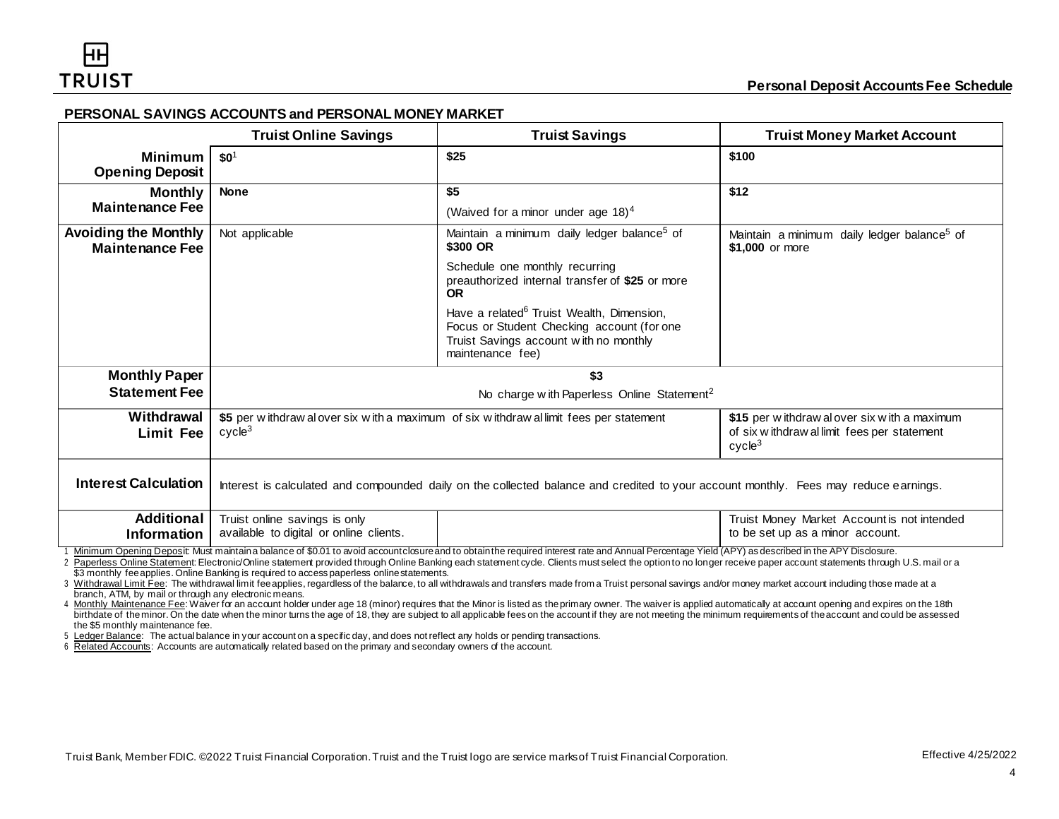## **PERSONAL SAVINGS ACCOUNTS and PERSONAL MONEY MARKET**

|                                                       | <b>Truist Online Savings</b>                                                                                                         | <b>Truist Savings</b>                                                                                                                                                                                                                                                                                                                                                                                            | <b>Truist Money Market Account</b>                                                                               |
|-------------------------------------------------------|--------------------------------------------------------------------------------------------------------------------------------------|------------------------------------------------------------------------------------------------------------------------------------------------------------------------------------------------------------------------------------------------------------------------------------------------------------------------------------------------------------------------------------------------------------------|------------------------------------------------------------------------------------------------------------------|
| <b>Minimum</b><br><b>Opening Deposit</b>              | $$0^1$                                                                                                                               | \$25                                                                                                                                                                                                                                                                                                                                                                                                             | \$100                                                                                                            |
| <b>Monthly</b>                                        | <b>None</b>                                                                                                                          | \$5                                                                                                                                                                                                                                                                                                                                                                                                              | \$12                                                                                                             |
| <b>Maintenance Fee</b>                                |                                                                                                                                      | (Waived for a minor under age $18$ ) <sup>4</sup>                                                                                                                                                                                                                                                                                                                                                                |                                                                                                                  |
| <b>Avoiding the Monthly</b><br><b>Maintenance Fee</b> | Not applicable                                                                                                                       | Maintain a minimum daily ledger balance <sup>5</sup> of<br>\$300 OR                                                                                                                                                                                                                                                                                                                                              | Maintain a minimum daily ledger balance <sup>5</sup> of<br>\$1,000 or more                                       |
|                                                       |                                                                                                                                      | Schedule one monthly recurring<br>preauthorized internal transfer of \$25 or more<br>OR.                                                                                                                                                                                                                                                                                                                         |                                                                                                                  |
|                                                       |                                                                                                                                      | Have a related <sup>6</sup> Truist Wealth, Dimension,<br>Focus or Student Checking account (for one<br>Truist Savings account with no monthly<br>maintenance fee)                                                                                                                                                                                                                                                |                                                                                                                  |
| <b>Monthly Paper</b>                                  | \$3                                                                                                                                  |                                                                                                                                                                                                                                                                                                                                                                                                                  |                                                                                                                  |
| <b>Statement Fee</b>                                  | No charge with Paperless Online Statement <sup>2</sup>                                                                               |                                                                                                                                                                                                                                                                                                                                                                                                                  |                                                                                                                  |
| Withdrawal<br><b>Limit Fee</b>                        | \$5 per withdraw alover six with a maximum of six withdraw allimit fees per statement<br>cycle <sup>3</sup>                          |                                                                                                                                                                                                                                                                                                                                                                                                                  | \$15 per withdraw al over six with a maximum<br>of six withdraw allimit fees per statement<br>cycle <sup>3</sup> |
| <b>Interest Calculation</b>                           | Interest is calculated and compounded daily on the collected balance and credited to your account monthly. Fees may reduce earnings. |                                                                                                                                                                                                                                                                                                                                                                                                                  |                                                                                                                  |
| <b>Additional</b><br><b>Information</b>               | Truist online savings is only<br>available to digital or online clients.                                                             |                                                                                                                                                                                                                                                                                                                                                                                                                  | Truist Money Market Account is not intended<br>to be set up as a minor account.                                  |
|                                                       |                                                                                                                                      | Minimum Opening Deposit: Must mantaina balance of \$0.01 to avoid accountclosure and to obtain the required interest rate and Annual Percentage Yield (APY) as described in the APY Disclosure.<br>Reparison Opling Statement: Electronic/Opling statement provided through Opling Replies and obtament avalo. Cliente must solect the entirate pelop ass resolve pensy second statements through LLS, mail as a |                                                                                                                  |

line statement provided through Online Banking each statement cycle. Clients must select the option to no longer receive paper account statements through U.S. mail or a \$3 monthly fee applies. Online Banking is required to access paperless online statements.

3 Withdrawal Limit Fee: The withdrawal limit fee applies, regardless of the balance, to all withdrawals and transfers made from a Truist personal savings and/or money market account including those made at a branch, ATM, by mail or through any electronic means.

4 Monthly Maintenance Fee: Waiver for an account holder under age 18 (minor) requires that the Minor is listed as the primary owner. The waiver is applied automatically at account opening and expires on the 18th birthdate of the minor. On the date when the minor turns the age of 18, they are subject to all applicable fees on the account if they are not meeting the minimum requirements of the account and could be assessed the \$5 monthly maintenance fee.

5 Ledger Balance: The actual balance in your account on a specific day, and does not reflect any holds or pending transactions.

6 Related Accounts: Accounts are automatically related based on the primary and secondary owners of the account.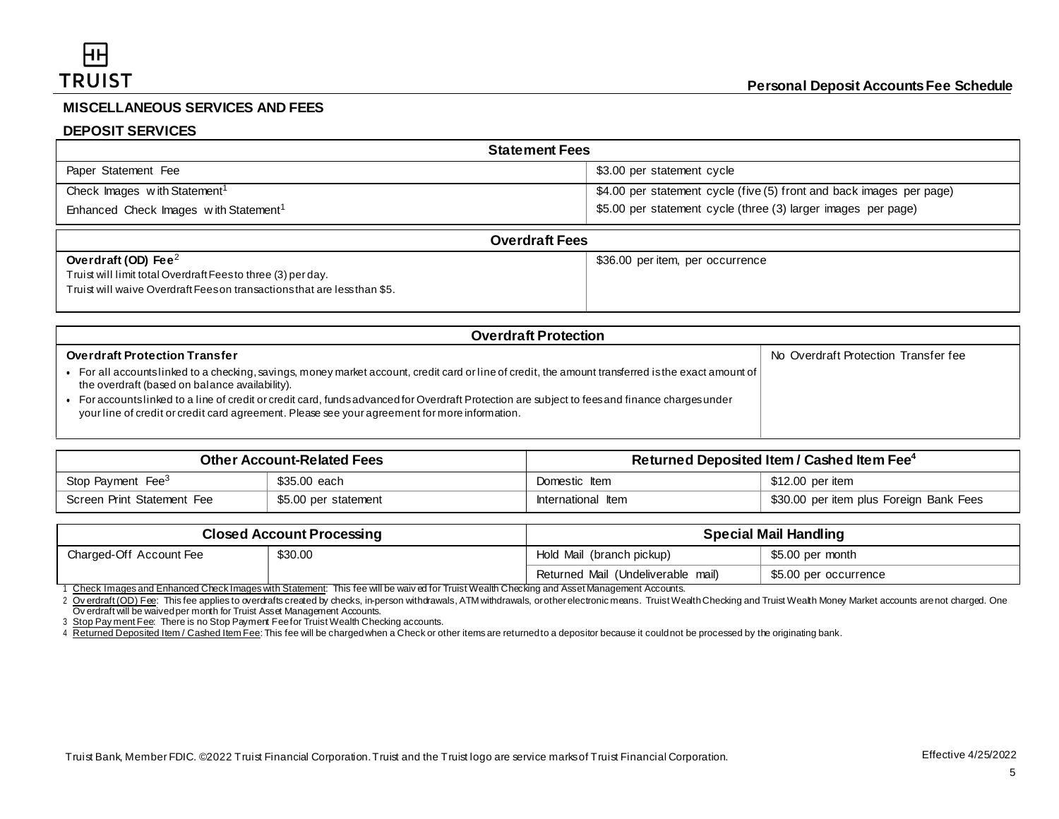# **MISCELLANEOUS SERVICES AND FEES**

## **DEPOSIT SERVICES**

| <b>Statement Fees</b>                             |                                                                      |  |  |
|---------------------------------------------------|----------------------------------------------------------------------|--|--|
| Paper Statement Fee                               | \$3.00 per statement cycle                                           |  |  |
| Check Images with Statement <sup>1</sup>          | \$4.00 per statement cycle (five (5) front and back images per page) |  |  |
| Enhanced Check Images with Statement <sup>1</sup> | \$5.00 per statement cycle (three (3) larger images per page)        |  |  |
| <b>Overdraft Fees</b>                             |                                                                      |  |  |
| Overdraft (OD) Fee $^2$                           | \$36.00 per item, per occurrence                                     |  |  |

| Overdraft (OD) Fee $^2$                                                  | \$36.00 per item, per occurrence |
|--------------------------------------------------------------------------|----------------------------------|
| Truist will limit total Overdraft Feesto three (3) per day.              |                                  |
| Truist will waive Overdraft Fees on transactions that are less than \$5. |                                  |
|                                                                          |                                  |
|                                                                          |                                  |

| <b>Overdraft Protection</b>                                                                                                                                                                                                                    |                                      |  |  |
|------------------------------------------------------------------------------------------------------------------------------------------------------------------------------------------------------------------------------------------------|--------------------------------------|--|--|
| <b>Overdraft Protection Transfer</b>                                                                                                                                                                                                           | No Overdraft Protection Transfer fee |  |  |
| For all accountslinked to a checking, savings, money market account, credit card or line of credit, the amount transferred is the exact amount of $\vert$<br>the overdraft (based on balance availability).                                    |                                      |  |  |
| For accounts linked to a line of credit or credit card, funds advanced for Overdraft Protection are subject to fees and finance charges under<br>your line of credit or credit card agreement. Please see your agreement for more information. |                                      |  |  |

| <b>Other Account-Related Fees</b> |                      | Returned Deposited Item / Cashed Item Fee <sup>4</sup> |                                         |
|-----------------------------------|----------------------|--------------------------------------------------------|-----------------------------------------|
| Stop Payment Fee <sup>3</sup>     | \$35.00 each         | Domestic Item                                          | \$12.00 per item                        |
| Screen Print Statement Fee        | \$5.00 per statement | International Item                                     | \$30.00 per item plus Foreign Bank Fees |

| <b>Closed Account Processing</b> |         | <b>Special Mail Handling</b>       |                       |
|----------------------------------|---------|------------------------------------|-----------------------|
| Charged-Off Account Fee          | \$30.00 | Hold Mail (branch pickup)          | \$5.00 per month      |
|                                  |         | Returned Mail (Undeliverable mail) | \$5.00 per occurrence |

1 Check Images and Enhanced Check Images with Statement: This fee will be waiv ed for Truist Wealth Checking and Asset Management Accounts.

2 Overdraft (OD) Fee: This fee applies to overdrafts created by checks, in-person withdrawals, ATM withdrawals, orother electronic means. Truist Wealth Checking and Truist Wealth Money Market accounts are not charged. One Ov erdraft will be waived per month for Truist Asset Management Accounts.

3 Stop Pay ment Fee: There is no Stop Payment Fee for Truist Wealth Checking accounts.

4 Returned Deposited Item / Cashed Item Fee: This fee will be charged when a Check or other items are returned to a depositor because it could not be processed by the originating bank.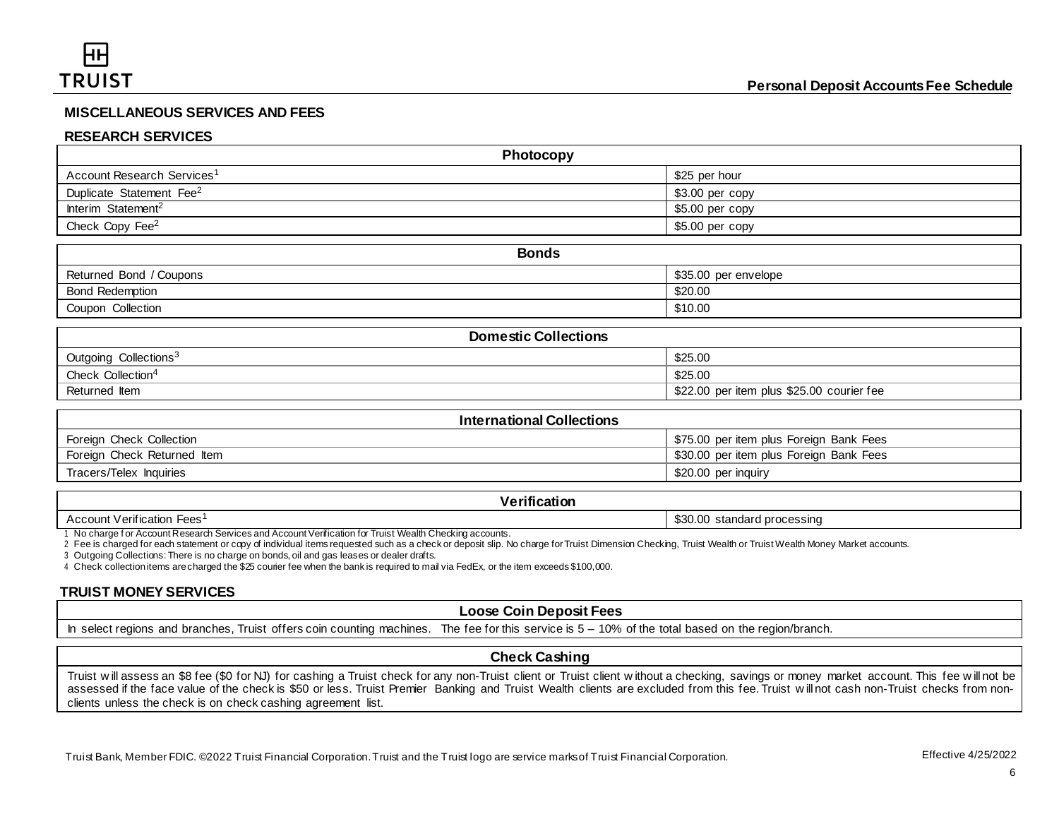## **MISCELLANEOUS SERVICES AND FEES**

#### **RESEARCH SERVICES**

| Photocopy                              |                  |
|----------------------------------------|------------------|
| Account Research Services <sup>1</sup> | \$25 per hour    |
| Duplicate Statement Fee <sup>2</sup>   | $$3.00$ per copy |
| Interim Statement <sup>2</sup>         | $$5.00$ per copy |
| Check Copy Fee <sup>2</sup>            | \$5.00 per copy  |

| <b>Bonds</b>            |                      |
|-------------------------|----------------------|
| Returned Bond / Coupons | \$35.00 per envelope |
| <b>Bond Redemption</b>  | \$20.00              |
| Coupon Collection       | \$10.00              |

| <b>Domestic Collections</b>       |                                           |  |
|-----------------------------------|-------------------------------------------|--|
| Outgoing Collections <sup>3</sup> | \$25.00                                   |  |
| Check Collection <sup>4</sup>     | \$25.00                                   |  |
| Returned Item                     | \$22.00 per item plus \$25.00 courier fee |  |

| <b>International Collections</b> |                                         |  |
|----------------------------------|-----------------------------------------|--|
| Foreign Check Collection         | \$75.00 per item plus Foreign Bank Fees |  |
| Foreign Check Returned Item      | \$30.00 per item plus Foreign Bank Fees |  |
| Tracers/Telex Inquiries          | \$20.00 per inquiry                     |  |

#### **Verification**

Account Verification Fees<sup>1</sup> 630.00 standard processing

1 No charge f or Account Research Services and Account Verification for Truist Wealth Checking accounts.

2 Fee is charged for each statement or copy of individual items requested such as a check or deposit slip. No charge for Truist Dimension Checking, Truist Wealth or Truist Wealth Money Market accounts.

3 Outgoing Collections: There is no charge on bonds, oil and gas leases or dealer drafts.

4 Check collectionitems arecharged the \$25 courier fee when the bank is required to mail via FedEx, or the item exceeds \$100,000.

# **TRUIST MONEY SERVICES**

#### **Loose Coin Deposit Fees**

In select regions and branches, Truist offers coin counting machines. The fee for this service is  $5 - 10%$  of the total based on the region/branch.

## **Check Cashing**

Truist will assess an \$8 fee (\$0 for NJ) for cashing a Truist check for any non-Truist client or Truist client w ithout a checking, savings or money market account. This fee will not be assessed if the face value of the check is \$50 or less. Truist Premier Banking and Truist Wealth clients are excluded from this fee. Truist will not cash non-Truist checks from nonclients unless the check is on check cashing agreement list.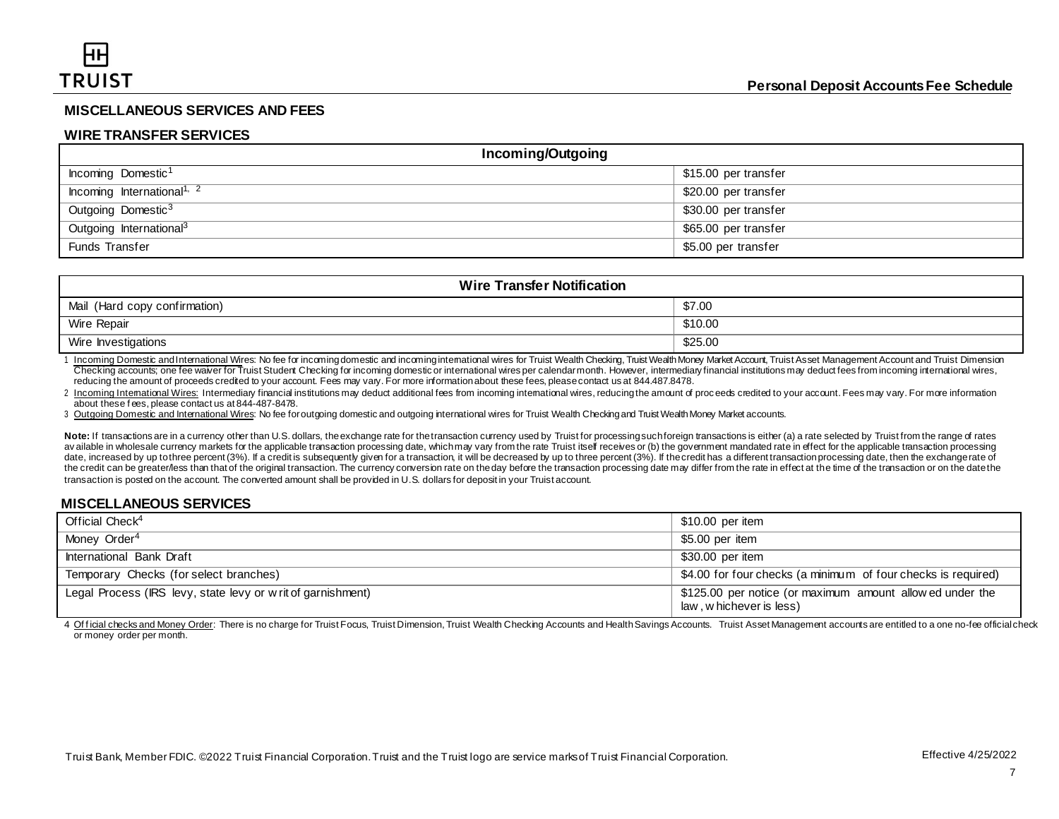## **MISCELLANEOUS SERVICES AND FEES**

#### **WIRE TRANSFER SERVICES**

| Incoming/Outgoing                      |                      |  |
|----------------------------------------|----------------------|--|
| Incoming Domestic <sup>1</sup>         | \$15.00 per transfer |  |
| Incoming International <sup>1, 2</sup> | \$20.00 per transfer |  |
| Outgoing Domestic <sup>3</sup>         | \$30.00 per transfer |  |
| Outgoing International <sup>3</sup>    | \$65.00 per transfer |  |
| Funds Transfer                         | \$5.00 per transfer  |  |

| <b>Wire Transfer Notification</b> |         |  |
|-----------------------------------|---------|--|
| Mail (Hard copy confirmation)     | \$7.00  |  |
| Wire Repair                       | \$10.00 |  |
| Wire Investigations               | \$25.00 |  |

1 Incoming Domestic andInternational Wires: No fee for incomingdomestic and incominginternational wires for Truist Wealth Checking, Truist Wealth Money Market Account, Truist Asset Management Account and Truist Dimension Checking accounts; one fee waiver for Truist Student Checking for incoming domestic or international wires per calendar month. However, intermediary financial institutions may deduct fees from incoming international wires, reducing the amount of proceeds credited to your account. Fees may vary. For more informationabout these fees, pleasecontact us at 844.487.8478.

2 Incoming International Wires: Intermediary financial institutions may deduct additional fees from incoming international wires, reducing the amount of proceeds credited to your account. Fees may vary. For more informatio about these f ees, please contact us at 844-487-8478.

3 Outgoing Domestic and International Wires: No fee for outgoing domestic and outgoing international wires for Truist Wealth Checking and Truist Wealth Money Market accounts.

Note: If transactions are in a currency other than U.S. dollars, the exchange rate for the transaction currency used by Truist for processing such foreign transactions is either (a) a rate selected by Truist from the range available in wholesale currency markets for the applicable transaction processing date, which may vary from the rate Truist itself receives or (b) the government mandated rate in effect for the applicable transaction proce date, increased by up to three percent (3%). If a credit is subsequently given for a transaction, it will be decreased by up to three percent (3%). If the credit has a different transaction processing date, then the exchan the credit can be greater/less than that of the original transaction. The currency conversion rate on the day before the transaction processing date may differ from the rate in effect at the time of the transaction or on t transaction is posted on the account. The converted amount shall be provided in U.S. dollars for deposit in your Truist account.

## **MISCELLANEOUS SERVICES**

| Official Check <sup>4</sup>                                  | \$10.00 per item                                                                      |
|--------------------------------------------------------------|---------------------------------------------------------------------------------------|
| Money Order <sup>4</sup>                                     | \$5.00 per item                                                                       |
| International Bank Draft                                     | \$30.00 per item                                                                      |
| Temporary Checks (for select branches)                       | \$4.00 for four checks (a minimum of four checks is required)                         |
| Legal Process (IRS levy, state levy or w rit of garnishment) | \$125.00 per notice (or maximum amount allow ed under the<br>law, w hichever is less) |

4 Official checks and Money Order: There is no charge for Truist Focus. Truist Dimension. Truist Wealth Checking Accounts and Health Sayings Accounts. Truist Asset Management accounts are entitled to a one no-fee official or money order per month.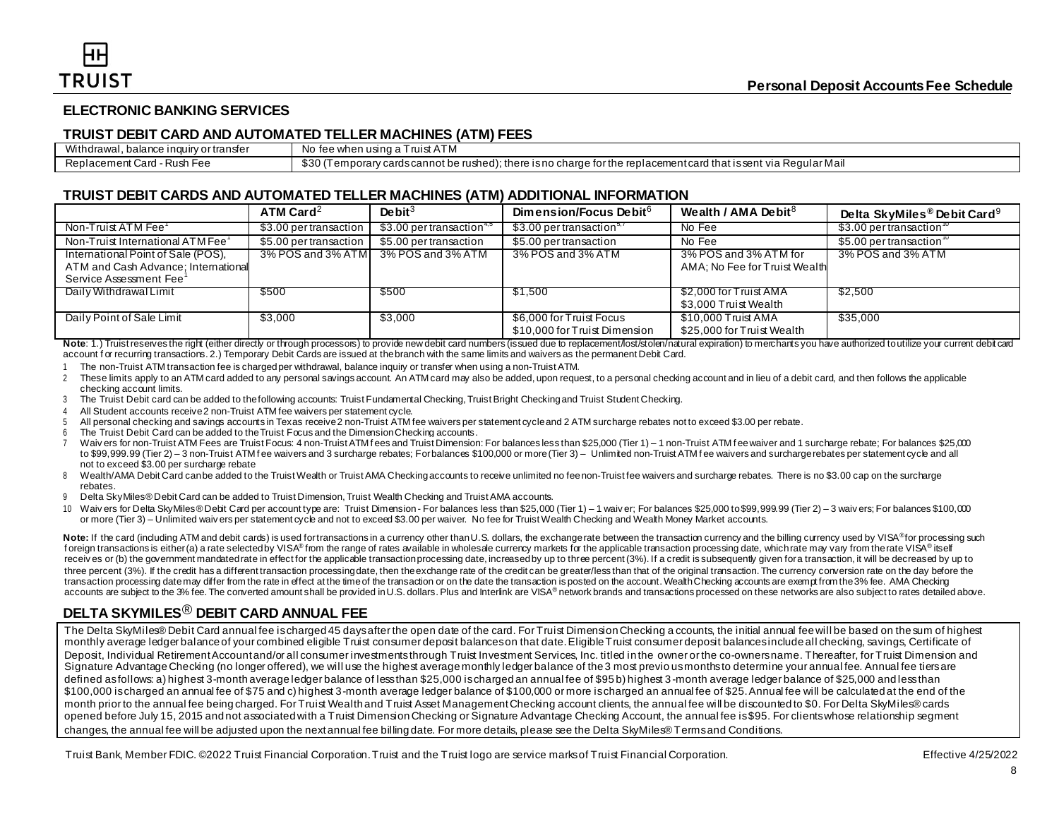## **ELECTRONIC BANKING SERVICES**

#### **TRUIST DEBIT CARD AND AUTOMATED TELLER MACHINES (ATM) FEES**

| Withdrawal<br>\rtranster<br>. balance inquiry of | No<br>tee when<br>ា using al<br>I ruist A<br>AIM                                                                                                                                |
|--------------------------------------------------|---------------------------------------------------------------------------------------------------------------------------------------------------------------------------------|
| Replacement<br>Card<br>-Rush Fee                 | $\sim$<br>tor the replacement card that is sent \! ف<br>: Regular Mail<br>`rushed,<br>cardscannot be<br>there<br>via<br>$\ldots$ unborary $\sim$<br>is no<br>cnarge<br>$\cdots$ |

## **TRUIST DEBIT CARDS AND AUTOMATED TELLER MACHINES (ATM) ADDITIONAL INFORMATION**

|                                     | ATM Card $^2$          | De bit $3$                             | Dimension/Focus Debit <sup>6</sup>    | Wealth / AMA Debit $8$        | Delta SkyMiles® Debit Card <sup>9</sup> |
|-------------------------------------|------------------------|----------------------------------------|---------------------------------------|-------------------------------|-----------------------------------------|
| Non-Truist ATM Fee <sup>T</sup>     | \$3.00 per transaction | $$3.00$ per transaction <sup>4,5</sup> | \$3.00 per transaction <sup>3,7</sup> | No Fee                        | \$3.00 per transaction $^{\circ}$       |
| Non-Truist International ATM Fee'   | \$5.00 per transaction | \$5.00 per transaction                 | \$5.00 per transaction                | No Fee                        | \$5.00 per transaction $"$              |
| International Point of Sale (POS),  | 3% POS and 3% ATM      | 3% POS and 3% ATM                      | 3% POS and 3% ATM                     | 3% POS and 3% ATM for         | 3% POS and 3% ATM                       |
| ATM and Cash Advance; International |                        |                                        |                                       | AMA; No Fee for Truist Wealth |                                         |
| Service Assessment Fee'             |                        |                                        |                                       |                               |                                         |
| Daily Withdrawal Limit              | \$500                  | \$500                                  | \$1,500                               | \$2,000 for Truist AMA        | \$2,500                                 |
|                                     |                        |                                        |                                       | \$3,000 Truist Wealth         |                                         |
| Daily Point of Sale Limit           | \$3,000                | \$3,000                                | \$6,000 for Truist Focus              | \$10,000 Truist AMA           | \$35,000                                |
|                                     |                        |                                        | \$10,000 for Truist Dimension         | \$25,000 for Truist Wealth    |                                         |

Note: 1.) Truist reserves the right (either directly or through processors) to provide new debit card numbers (issued due to replacement/lost/stolen/natural expiration) to merchants you have authorized to utilize your curr account for recurring transactions. 2.) Temporary Debit Cards are issued at the branch with the same limits and waivers as the permanent Debit Card.

The non-Truist ATM transaction fee is charged per withdrawal, balance inquiry or transfer when using a non-Truist ATM.

- 2 These limits apply to an ATM card added to any personal savings account. An ATM card may also be added, upon request, to a personal checking account and in lieu of a debit card, and then follows the applicable checking account limits.
- 3 The Truist Debit card can be added to the following accounts: Truist Fundamental Checking, Truist Bright Checking and Truist Student Checking.
- 4 All Student accounts receive 2 non-Truist ATM fee waivers per statement cycle.
- 5 All personal checking and savings accounts in Texas receive 2 non-Truist ATM fee waivers per statement cycle and 2 ATM surcharge rebates not to exceed \$3.00 per rebate.
- 6 The Truist Debit Card can be added to the Truist Focus and the Dimension Checking accounts.
- 7 Waiv ers for non-Truist ATM Fees are Truist Focus: 4 non-Truist ATM f ees and Truist Dimension: For balances less than \$25,000 (Tier 1) 1 non-Truist ATM f ee waiver and 1 surcharge rebate; For balances \$25,000 to \$99,999.99 (Tier 2) – 3 non-Truist ATM fee waivers and 3 surcharge rebates; For balances \$100,000 or more (Tier 3) – Unlimited non-Truist ATM fee waivers and surcharge rebates per statement cycle and all not to exceed \$3.00 per surcharge rebate
- 8 Wealth/AMA Debit Card can be added to the Truist Wealth or Truist AMA Checking accounts to receive unlimited no fee non-Truist fee waivers and surcharge rebates. There is no \$3.00 cap on the surcharge rebates.
- 9 Delta SkyMiles® Debit Card can be added to Truist Dimension, Truist Wealth Checking and Truist AMA accounts.
- 10 Waiv ers for Delta SkyMiles® Debit Card per account type are: Truist Dimension For balances less than \$25,000 (Tier 1) 1 waiv er; For balances \$25,000 to \$99,999.99 (Tier 2) 3 waiv ers; For balances \$100,000 or more (Tier 3) – Unlimited waiv ers per statement cycle and not to exceed \$3.00 per waiver. No fee for Truist Wealth Checking and Wealth Money Market accounts.

Note: If the card (including ATM and debit cards) is used for transactions in a currency other than U.S. dollars, the exchangerate between the transaction currency and the billing currency used by VISA® for processing such f oreign transactions is either (a) a rate selected by VISA® from the range of rates available in wholesale currency markets for the applicable transaction processing date, which rate may vary from the rate VISA® itself receives or (b) the government mandated rate in effect for the applicable transaction processing date, increased by up to three percent (3%). If a credit is subsequently given for a transaction, it will be decreased by up three percent (3%). If the credit has a different transaction processing date, then the exchange rate of the credit can be greater/less than that of the priginal transaction. The currency conversion rate on the day before transaction processing datemay differ from the rate in effect at the timeof the transaction or on the date the transaction is posted on the account. Wealth Checking accounts are exempt from the 3% fee. AMA Checking accounts are subject to the 3% fee. The converted amount shall be provided in U.S. dollars. Plus and Interlink are VISA® network brands and transactions processed on these networks are also subject to rates detailed above.

# **DELTA SKYMILES**® **DEBIT CARD ANNUAL FEE**

The Delta SkyMiles® Debit Card annual fee is charged 45 days after the open date of the card. For Truist Dimension Checking a ccounts, the initial annual fee will be based on the sum of highest monthly average ledger balance of your combined eligible Truist consumer deposit balances on that date. Eligible Truist consumer deposit balances include all checking, savings, Certificate of Deposit, Individual Retirement Account and/or all consumer investments through Truist Investment Services, Inc. titled in the owner or the co-owners name. Thereafter, for Truist Dimension and Signature Advantage Checking (no longer offered), we will use the highest average monthly ledger balance of the 3 most previo us months to determine your annual fee. Annual fee tiers are defined as follows: a) highest 3-month average ledger balance of less than \$25,000 is charged an annual fee of \$95 b) highest 3-month average ledger balance of \$25,000 and less than \$100,000 is charged an annual fee of \$75 and c) highest 3-month average ledger balance of \$100,000 or more is charged an annual fee of \$25. Annual fee will be calculated at the end of the month prior to the annual fee being charged. For Truist Wealth and Truist Asset Management Checking account clients, the annual fee will be discounted to \$0. For Delta SkyMiles® cards opened before July 15, 2015 and not associated with a Truist Dimension Checking or Signature Advantage Checking Account, the annual fee is \$95. For clients whose relationship segment changes, the annual fee will be adjusted upon the next annual fee billing date. For more details, please see the Delta SkyMiles® Terms and Conditions.

Truist Bank, Member FDIC. ©2022 Truist Financial Corporation. Truist and the Truist logo are service marks of Truist Financial Corporation. Effective 4/25/2022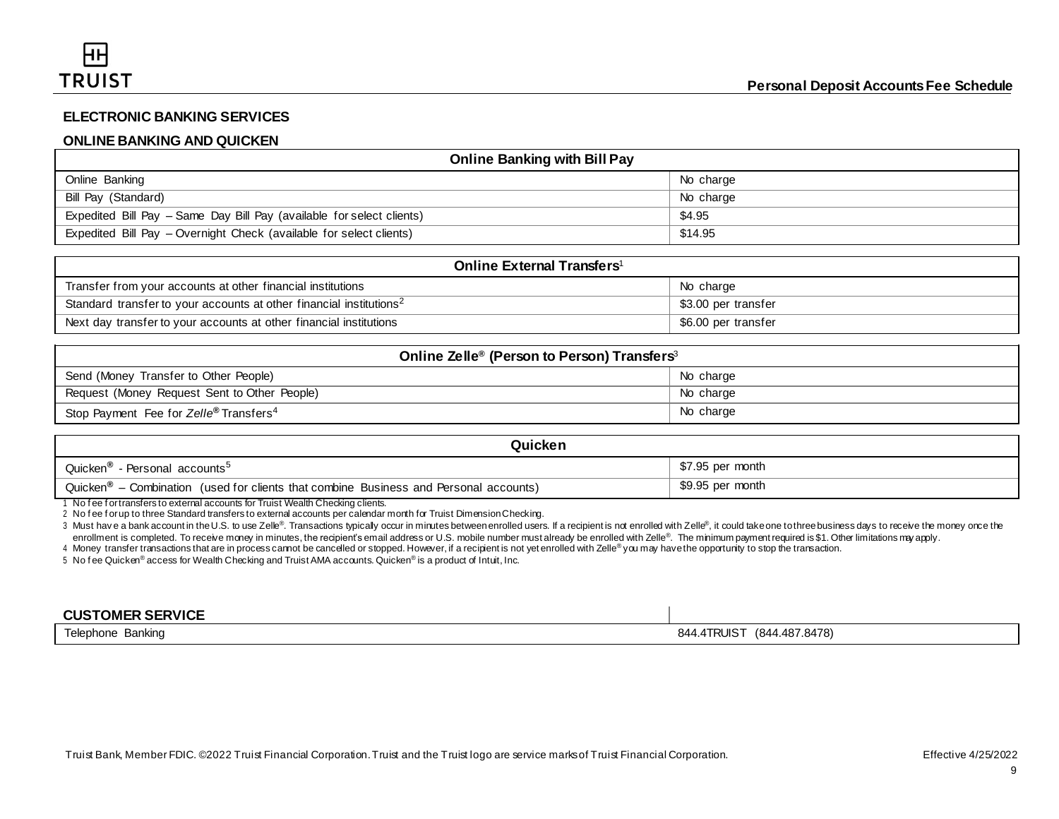# **ELECTRONIC BANKING SERVICES**

## **ONLINE BANKING AND QUICKEN**

| <b>Online Banking with Bill Pay</b>                                   |           |  |
|-----------------------------------------------------------------------|-----------|--|
| Online Banking                                                        | No charge |  |
| Bill Pay (Standard)                                                   | No charge |  |
| Expedited Bill Pay - Same Day Bill Pay (available for select clients) | \$4.95    |  |
| Expedited Bill Pay – Overnight Check (available for select clients)   | \$14.95   |  |

| <b>Online External Transfers</b> <sup>1</sup>                                   |                     |  |
|---------------------------------------------------------------------------------|---------------------|--|
| Transfer from your accounts at other financial institutions                     | No charge           |  |
| Standard transfer to your accounts at other financial institutions <sup>2</sup> | \$3.00 per transfer |  |
| Next day transfer to your accounts at other financial institutions              | \$6.00 per transfer |  |

| Online Zelle <sup>®</sup> (Person to Person) Transfers <sup>3</sup> |           |  |
|---------------------------------------------------------------------|-----------|--|
| Send (Money Transfer to Other People)                               | No charge |  |
| Request (Money Request Sent to Other People)                        | No charge |  |
| Stop Payment Fee for Zelle® Transfers <sup>4</sup>                  | No charge |  |

| Quicken                                                                                                     |                  |  |
|-------------------------------------------------------------------------------------------------------------|------------------|--|
| <b>Quicken®</b><br>- Personal accounts <sup>5</sup>                                                         | \$7.95 per month |  |
| Quicken <sup>®</sup><br>$\sim$ - Combination (used for clients that combine Business and Personal accounts) | \$9.95 per month |  |

1 No f ee f or transfers to external accounts for Truist Wealth Checking clients.

2 No fee for up to three Standard transfers to external accounts per calendar month for Truist Dimension Checking.

3 Must have a bank account in the U.S. to use Zelle®. Transactions typicaly occur in minutes between enrolled users. If a recipient is not enrolled with Zelle®, it could take one to three business days to receive the money enrollment is completed. To receive money in minutes, the recipient's email address or U.S. mobile number must already be enrolled with Zelle®. The minimum payment required is \$1. Other limitations may apply.

4 Money transfer transactions that are in process cannot be cancelled or stopped. However, if a recipient is not yet enrolled with Zelle*®* you may havethe opportunity to stop the transaction.

5 No fee Quicken® access for Wealth Checking and Truist AMA accounts. Quicken® is a product of Intuit, Inc.

| <b>CUSTOMER SERVICE</b> |                                                           |
|-------------------------|-----------------------------------------------------------|
| Telephone<br>Banking    | (844.487.8478)<br>.4TRUIS <sup>-</sup><br>24 <sub>0</sub> |